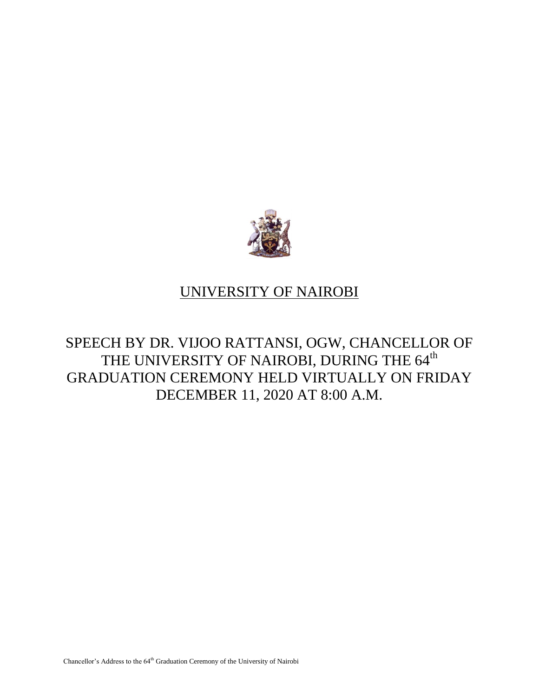

## UNIVERSITY OF NAIROBI

SPEECH BY DR. VIJOO RATTANSI, OGW, CHANCELLOR OF THE UNIVERSITY OF NAIROBI, DURING THE 64<sup>th</sup> GRADUATION CEREMONY HELD VIRTUALLY ON FRIDAY DECEMBER 11, 2020 AT 8:00 A.M.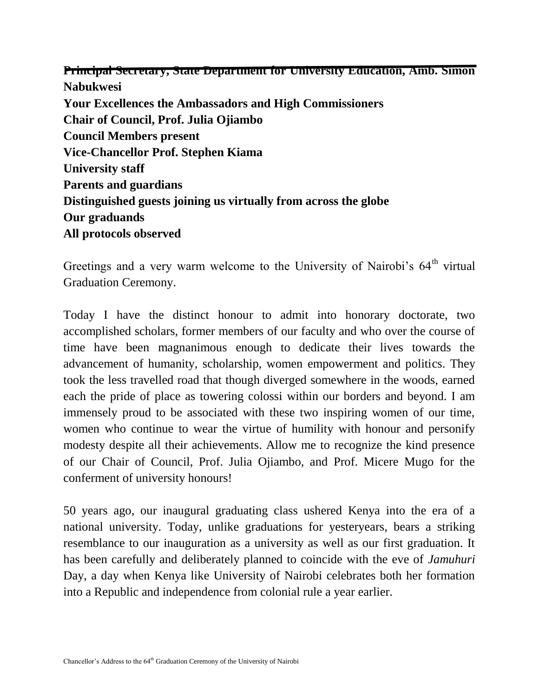**Principal Secretary, State Department for University Education, Amb. Simon Nabukwesi Your Excellences the Ambassadors and High Commissioners Chair of Council, Prof. Julia Ojiambo Council Members present Vice-Chancellor Prof. Stephen Kiama University staff Parents and guardians Distinguished guests joining us virtually from across the globe Our graduands All protocols observed**

Greetings and a very warm welcome to the University of Nairobi's 64<sup>th</sup> virtual Graduation Ceremony.

Today I have the distinct honour to admit into honorary doctorate, two accomplished scholars, former members of our faculty and who over the course of time have been magnanimous enough to dedicate their lives towards the advancement of humanity, scholarship, women empowerment and politics. They took the less travelled road that though diverged somewhere in the woods, earned each the pride of place as towering colossi within our borders and beyond. I am immensely proud to be associated with these two inspiring women of our time, women who continue to wear the virtue of humility with honour and personify modesty despite all their achievements. Allow me to recognize the kind presence of our Chair of Council, Prof. Julia Ojiambo, and Prof. Micere Mugo for the conferment of university honours!

50 years ago, our inaugural graduating class ushered Kenya into the era of a national university. Today, unlike graduations for yesteryears, bears a striking resemblance to our inauguration as a university as well as our first graduation. It has been carefully and deliberately planned to coincide with the eve of *Jamuhuri* Day, a day when Kenya like University of Nairobi celebrates both her formation into a Republic and independence from colonial rule a year earlier.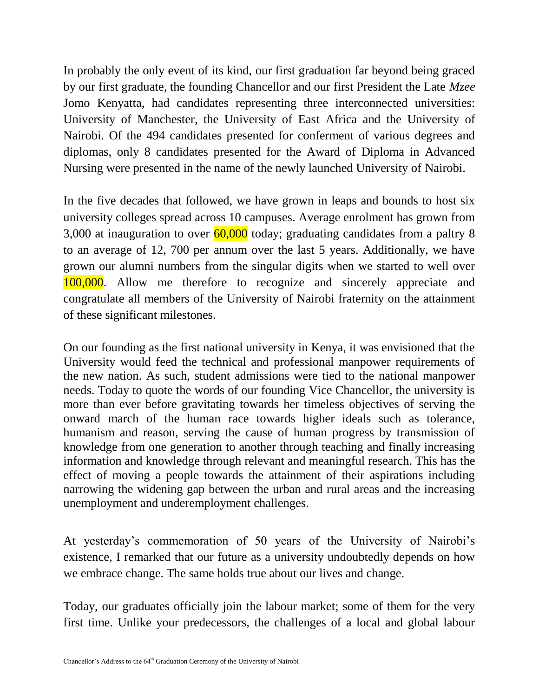In probably the only event of its kind, our first graduation far beyond being graced by our first graduate, the founding Chancellor and our first President the Late *Mzee* Jomo Kenyatta, had candidates representing three interconnected universities: University of Manchester, the University of East Africa and the University of Nairobi. Of the 494 candidates presented for conferment of various degrees and diplomas, only 8 candidates presented for the Award of Diploma in Advanced Nursing were presented in the name of the newly launched University of Nairobi.

In the five decades that followed, we have grown in leaps and bounds to host six university colleges spread across 10 campuses. Average enrolment has grown from 3,000 at inauguration to over  $\frac{60,000}{60,000}$  today; graduating candidates from a paltry 8 to an average of 12, 700 per annum over the last 5 years. Additionally, we have grown our alumni numbers from the singular digits when we started to well over 100,000. Allow me therefore to recognize and sincerely appreciate and congratulate all members of the University of Nairobi fraternity on the attainment of these significant milestones.

On our founding as the first national university in Kenya, it was envisioned that the University would feed the technical and professional manpower requirements of the new nation. As such, student admissions were tied to the national manpower needs. Today to quote the words of our founding Vice Chancellor, the university is more than ever before gravitating towards her timeless objectives of serving the onward march of the human race towards higher ideals such as tolerance, humanism and reason, serving the cause of human progress by transmission of knowledge from one generation to another through teaching and finally increasing information and knowledge through relevant and meaningful research. This has the effect of moving a people towards the attainment of their aspirations including narrowing the widening gap between the urban and rural areas and the increasing unemployment and underemployment challenges.

At yesterday's commemoration of 50 years of the University of Nairobi's existence, I remarked that our future as a university undoubtedly depends on how we embrace change. The same holds true about our lives and change.

Today, our graduates officially join the labour market; some of them for the very first time. Unlike your predecessors, the challenges of a local and global labour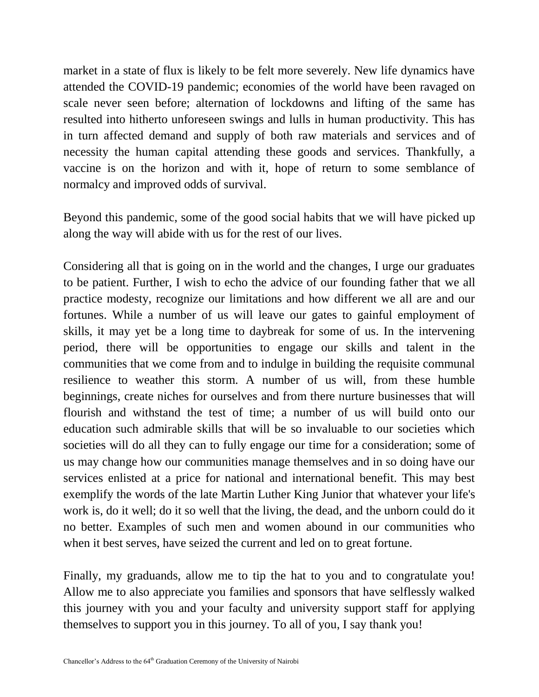market in a state of flux is likely to be felt more severely. New life dynamics have attended the COVID-19 pandemic; economies of the world have been ravaged on scale never seen before; alternation of lockdowns and lifting of the same has resulted into hitherto unforeseen swings and lulls in human productivity. This has in turn affected demand and supply of both raw materials and services and of necessity the human capital attending these goods and services. Thankfully, a vaccine is on the horizon and with it, hope of return to some semblance of normalcy and improved odds of survival.

Beyond this pandemic, some of the good social habits that we will have picked up along the way will abide with us for the rest of our lives.

Considering all that is going on in the world and the changes, I urge our graduates to be patient. Further, I wish to echo the advice of our founding father that we all practice modesty, recognize our limitations and how different we all are and our fortunes. While a number of us will leave our gates to gainful employment of skills, it may yet be a long time to daybreak for some of us. In the intervening period, there will be opportunities to engage our skills and talent in the communities that we come from and to indulge in building the requisite communal resilience to weather this storm. A number of us will, from these humble beginnings, create niches for ourselves and from there nurture businesses that will flourish and withstand the test of time; a number of us will build onto our education such admirable skills that will be so invaluable to our societies which societies will do all they can to fully engage our time for a consideration; some of us may change how our communities manage themselves and in so doing have our services enlisted at a price for national and international benefit. This may best exemplify the words of the late Martin Luther King Junior that whatever your life's work is, do it well; do it so well that the living, the dead, and the unborn could do it no better. Examples of such men and women abound in our communities who when it best serves, have seized the current and led on to great fortune.

Finally, my graduands, allow me to tip the hat to you and to congratulate you! Allow me to also appreciate you families and sponsors that have selflessly walked this journey with you and your faculty and university support staff for applying themselves to support you in this journey. To all of you, I say thank you!